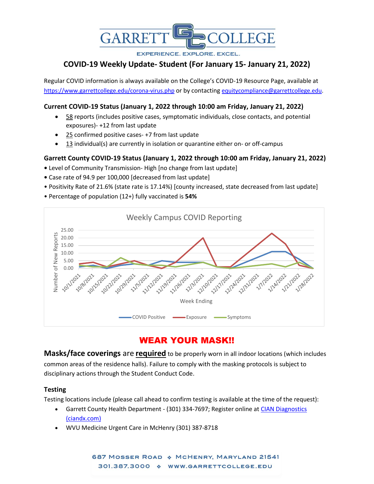

**EXPERIENCE, EXPLORE, EXCEL.** 

# **COVID-19 Weekly Update- Student (For January 15- January 21, 2022)**

Regular COVID information is always available on the College's COVID-19 Resource Page, available at <https://www.garrettcollege.edu/corona-virus.php> or by contacting [equitycompliance@garrettcollege.edu.](mailto:equitycompliance@garrettcollege.edu)

### **Current COVID-19 Status (January 1, 2022 through 10:00 am Friday, January 21, 2022)**

- 58 reports (includes positive cases, symptomatic individuals, close contacts, and potential exposures)- +12 from last update
- 25 confirmed positive cases- +7 from last update
- $13$  individual(s) are currently in isolation or quarantine either on- or off-campus

## **Garrett County COVID-19 Status (January 1, 2022 through 10:00 am Friday, January 21, 2022)**

- Level of Community Transmission- High [no change from last update]
- Case rate of 94.9 per 100,000 [decreased from last update]
- Positivity Rate of 21.6% (state rate is 17.14%) [county increased, state decreased from last update]
- Percentage of population (12+) fully vaccinated is **54%**



# WEAR YOUR MASK!!

**Masks/face coverings** are **required** to be properly worn in all indoor locations (which includes common areas of the residence halls). Failure to comply with the masking protocols is subject to disciplinary actions through the Student Conduct Code.

### **Testing**

Testing locations include (please call ahead to confirm testing is available at the time of the request):

- Garrett County Health Department (301) 334-7697; Register online at CIAN Diagnostics [\(ciandx.com\)](https://portal.ciandx.com/register?team=garrett_county_hd)
- WVU Medicine Urgent Care in McHenry (301) 387-8718

687 MOSSER ROAD & MCHENRY, MARYLAND 21541 301.387.3000 \* WWW.GARRETTCOLLEGE.EDU